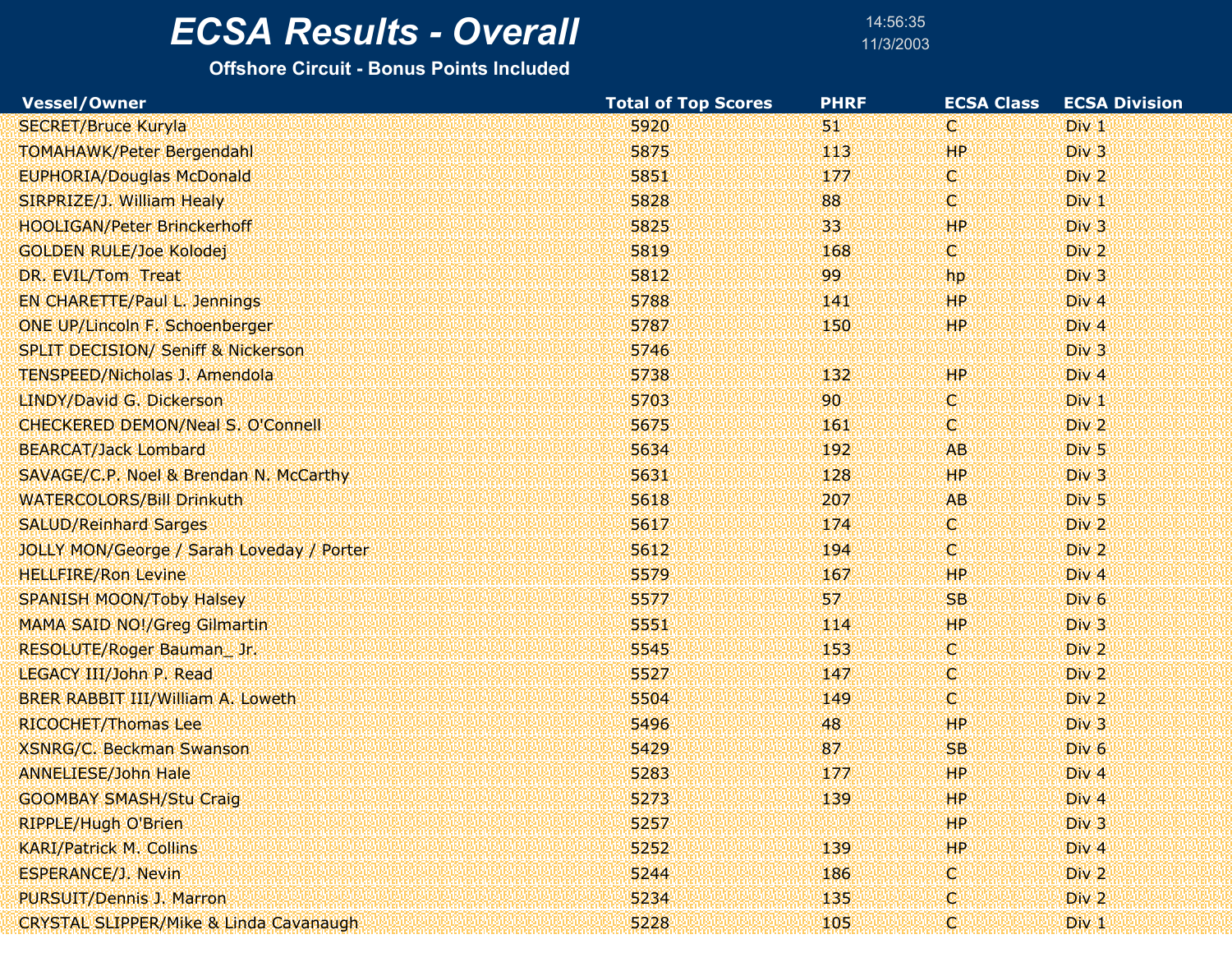# $\overline{ECSA}$  Results - Overall

14:56:3511/3/2003

| Vessel/Owner                                     | <b>Total of Top Scores</b> | <b>PHRF</b> | <b>ECSA Class</b> | <b>ECSA Division</b> |  |
|--------------------------------------------------|----------------------------|-------------|-------------------|----------------------|--|
| <b>SECRET/Bruce Kuryla</b>                       | 5920                       | 51          | W                 | Div 1                |  |
| <b>TOMAHAWK/Peter Bergendahl</b>                 | 5875                       | 113         | HP.               | Div <sub>3</sub>     |  |
| <b>EUPHORIA/Douglas McDonald</b>                 | 5851                       | 177         | V.                | Div 2                |  |
| SIRPRIZE/J. William Healy                        | 5828                       | 88          | 'N)               | Div 1                |  |
| <b>HOOLIGAN/Peter Brinckerhoff</b>               | 5825                       | 33          | <b>HP</b>         | Div 3                |  |
| <b>GOLDEN RULE/Joe Kolodej</b>                   | 5819                       | 168         | V.                | Div 2                |  |
| DR. EVIL/Tom Treat                               | 5812                       | 99          | <b>hp</b>         | Div 3                |  |
| EN CHARETTE/Paul L. Jennings                     | 5788                       | 141         | <b>HP</b>         | Div <sub>4</sub>     |  |
| ONE UP/Lincoln F. Schoenberger                   | 5787                       | 150         | <b>HP</b>         | Div 4                |  |
| <b>SPLIT DECISION/ Seniff &amp; Nickerson</b>    | 5746                       |             |                   | Div 3                |  |
| <b>TENSPEED/Nicholas J. Amendola</b>             | 5738                       | 132         | <b>HP</b>         | Div <sub>4</sub>     |  |
| <b>LINDY/David G. Dickerson</b>                  | 5703                       | 90          | W                 | Div <sub>1</sub>     |  |
| <b>CHECKERED DEMON/Neal S. O'Connell</b>         | 5675                       | 161         | 'N)               | Div <sub>2</sub>     |  |
| <b>BEARCAT/Jack Lombard</b>                      | 5634                       | 192         | <b>AB</b>         | Div <sub>5</sub>     |  |
| SAVAGE/C.P. Noel & Brendan N. McCarthy           | 5631                       | 128         | <b>HP</b>         | Div 3                |  |
| <b>WATERCOLORS/Bill Drinkuth</b>                 | 5618                       | 207         | AB.               | Div <sub>5</sub>     |  |
| <b>SALUD/Reinhard Sarges</b>                     | 5617                       | 174         | V.                | Div <sub>2</sub>     |  |
| <b>JOLLY MON/George / Sarah Loveday / Porter</b> | 5612                       | 194         | O)                | Div 2                |  |
| <b>HELLFIRE/Ron Levine</b>                       | 5579                       | 167         | <b>HP</b>         | Div <sub>4</sub>     |  |
| <b>SPANISH MOON/Toby Halsey</b>                  | 5577                       | 57          | <b>SB</b>         | Div <sub>6</sub>     |  |
| <b>MAMA SAID NO!/Greg Gilmartin</b>              | 5551                       | 114         | <b>HP</b>         | Div 3                |  |
| RESOLUTE/Roger Bauman_Jr.                        | 5545                       | 153         | W                 | Div <sub>2</sub>     |  |
| LEGACY III/John P. Read                          | 5527                       | 147         | O.                | Div <sub>2</sub>     |  |
| BRER RABBIT III/William A. Loweth                | 5504                       | 149         | V.                | Div 2                |  |
| <b>RICOCHET/Thomas Lee</b>                       | 5496                       | 48          | HP.               | Div 3                |  |
| <b>XSNRG/C. Beckman Swanson</b>                  | 5429                       | 87          | <b>SB</b>         | Div <sub>6</sub>     |  |
| <b>ANNELIESE/John Hale</b>                       | 5283                       | 177         | <b>HP</b>         | Div 4                |  |
| <b>GOOMBAY SMASH/Stu Craig</b>                   | 5273                       | 139         | AHP.              | Div <sub>4</sub>     |  |
| <b>RIPPLE/Hugh O'Brien</b>                       | 5257                       |             | HP.               | Div <sub>3</sub>     |  |
| <b>KARI/Patrick M. Collins</b>                   | 5252                       | 139         | <b>HP</b>         | Div 4                |  |
| <b>ESPERANCE/J. Nevin</b>                        | 5244                       | 186         | c                 | Div <sub>2</sub>     |  |
| PURSUIT/Dennis J. Marron                         | 5234                       | 135         | C.                | Div <sub>2</sub>     |  |
| CRYSTAL SLIPPER/Mike & Linda Cavanaugh           | 5228                       | 105         | ¢                 | Div <sub>1</sub>     |  |
|                                                  |                            |             |                   |                      |  |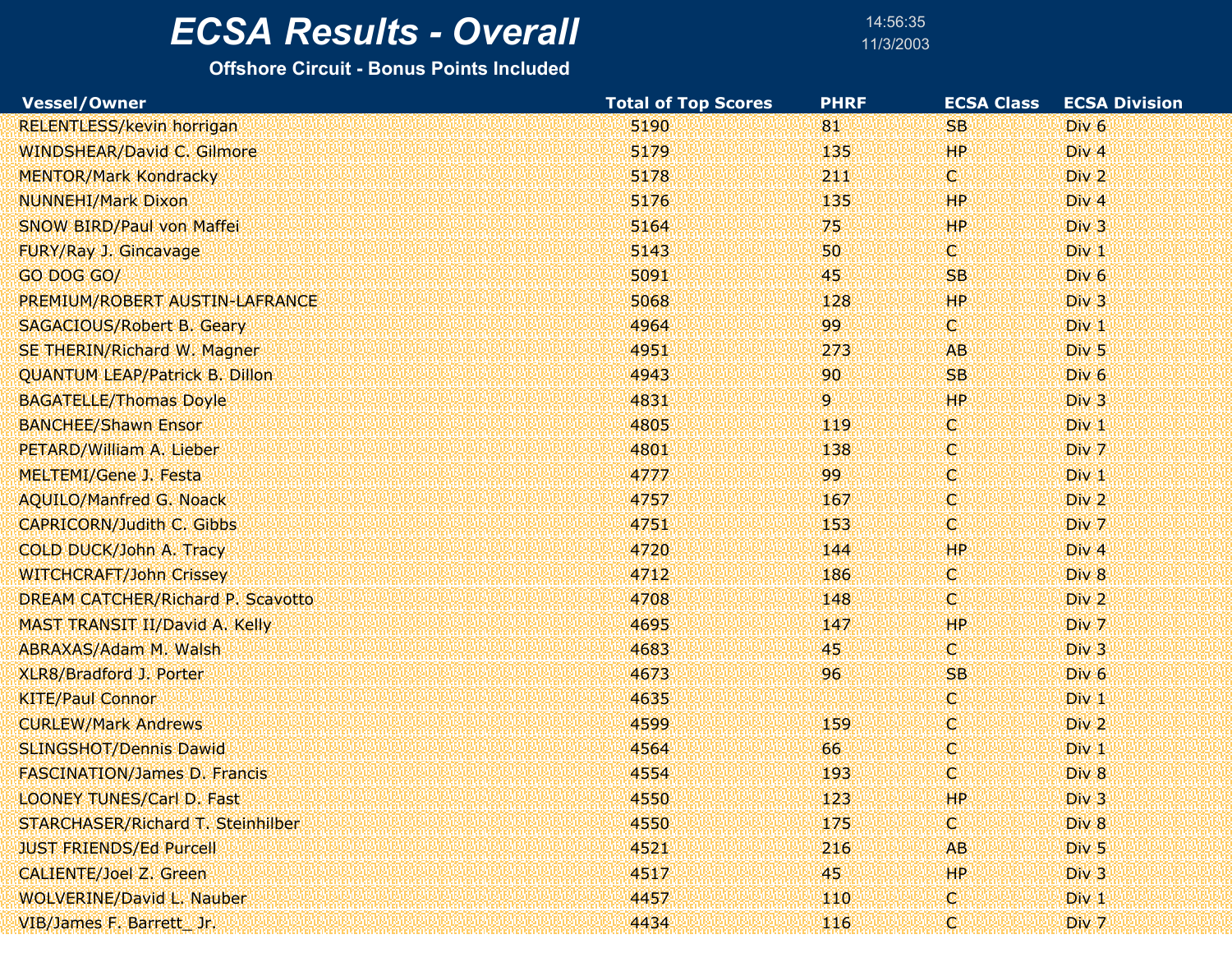14:56:3511/3/2003

| <b>Vessel/Owner</b>                   | <b>Total of Top Scores</b> | <b>PHRF</b> | <b>ECSA Class</b> | <b>ECSA Division</b> |  |
|---------------------------------------|----------------------------|-------------|-------------------|----------------------|--|
| RELENTLESS/kevin horrigan             | 5190                       | 81          | <b>SB</b>         | Div <sub>6</sub>     |  |
| <b>WINDSHEAR/David C. Gilmore</b>     | 5179                       | 135         | <b>HP</b>         | Div <sub>4</sub>     |  |
| <b>MENTOR/Mark Kondracky</b>          | 5178                       | 211         | C.                | Div 2                |  |
| <b>NUNNEHI/Mark Dixon</b>             | 5176                       | 135         | HP.               | Div 4                |  |
| <b>SNOW BIRD/Paul von Maffei</b>      | 5164                       | 75          | <b>HP</b>         | Div 3                |  |
| FURY/Ray J. Gincavage                 | 5143                       | 50          | C.                | $Div_1$              |  |
| GO DOG GO/                            | 5091                       | 45          | SB.               | Div <sub>6</sub>     |  |
| PREMIUM/ROBERT AUSTIN-LAFRANCE        | 5068                       | 128         | <b>HP</b>         | Div 3                |  |
| <b>SAGACIOUS/Robert B. Geary</b>      | 4964                       | 99          | C)                | $Div_1$              |  |
| SE THERIN/Richard W. Magner           | 4951                       | 273         | AB                | Div <sub>5</sub>     |  |
| <b>QUANTUM LEAP/Patrick B. Dillon</b> | 4943                       | 90          | <b>SB</b>         | Div <sub>6</sub>     |  |
| <b>BAGATELLE/Thomas Doyle</b>         | 4831                       | 9.          | HP                | Div 3                |  |
| <b>BANCHEE/Shawn Ensor</b>            | 4805                       | 119         | K.                | Div <sub>1</sub>     |  |
| PETARD/William A. Lieber              | 4801                       | 138         | 'Q.               | Div 7                |  |
| MELTEMI/Gene J. Festa                 | 4777                       | 99          | V.                | $Div_1$              |  |
| <b>AQUILO/Manfred G. Noack</b>        | 4757                       | 167         | V.                | Div <sub>2</sub>     |  |
| <b>CAPRICORN/Judith C. Gibbs</b>      | 4751                       | 153         | 'C)               | Div 7                |  |
| COLD DUCK/John A. Tracy               | 4720                       | 144         | HР                | Div 4                |  |
| <b>WITCHCRAFT/John Crissey</b>        | 4712                       | 186         | .C)               | Div 8                |  |
| DREAM CATCHER/Richard P. Scavotto     | 4708                       | 148         | C.                | Div 2                |  |
| MAST TRANSIT II/David A. Kelly        | 4695                       | 147         | HР                | Div 7                |  |
| <b>ABRAXAS/Adam M. Walsh</b>          | 4683                       | 45.         | C)                | Div 3                |  |
| XLR8/Bradford J. Porter               | 4673                       | 96          | <b>SB</b>         | Div <sub>6</sub>     |  |
| <b>KITE/Paul Connor</b>               | 4635                       |             | V.                | $Div_1$              |  |
| <b>CURLEW/Mark Andrews</b>            | 4599                       | 159         | V.                | Div <sub>2</sub>     |  |
| <b>SLINGSHOT/Dennis Dawid</b>         | 4564                       | 66          | 'Q.               | Div 1                |  |
| <b>FASCINATION/James D. Francis</b>   | 4554                       | 193         | c                 | Div 8                |  |
| LOONEY TUNES/Carl D. Fast             | 4550                       | 123         | HP.               | Div 3                |  |
| STARCHASER/Richard T. Steinhilber     | 4550                       | 175         | C.                | Div <sub>8</sub>     |  |
| <b>JUST FRIENDS/Ed Purcell</b>        | 4521                       | 216         | AB.               | Div <sub>5</sub>     |  |
| <b>CALIENTE/Joel Z. Green</b>         | 4517                       | 45.         | HP.               | Div 3                |  |
| WOLVERINE/David L. Nauber             | 4457                       | 440         | C.                | Div 1                |  |
| VIB/James F. Barrett_Jr.              | 4434                       | 116         | Ç                 | Div 7                |  |
|                                       |                            |             |                   |                      |  |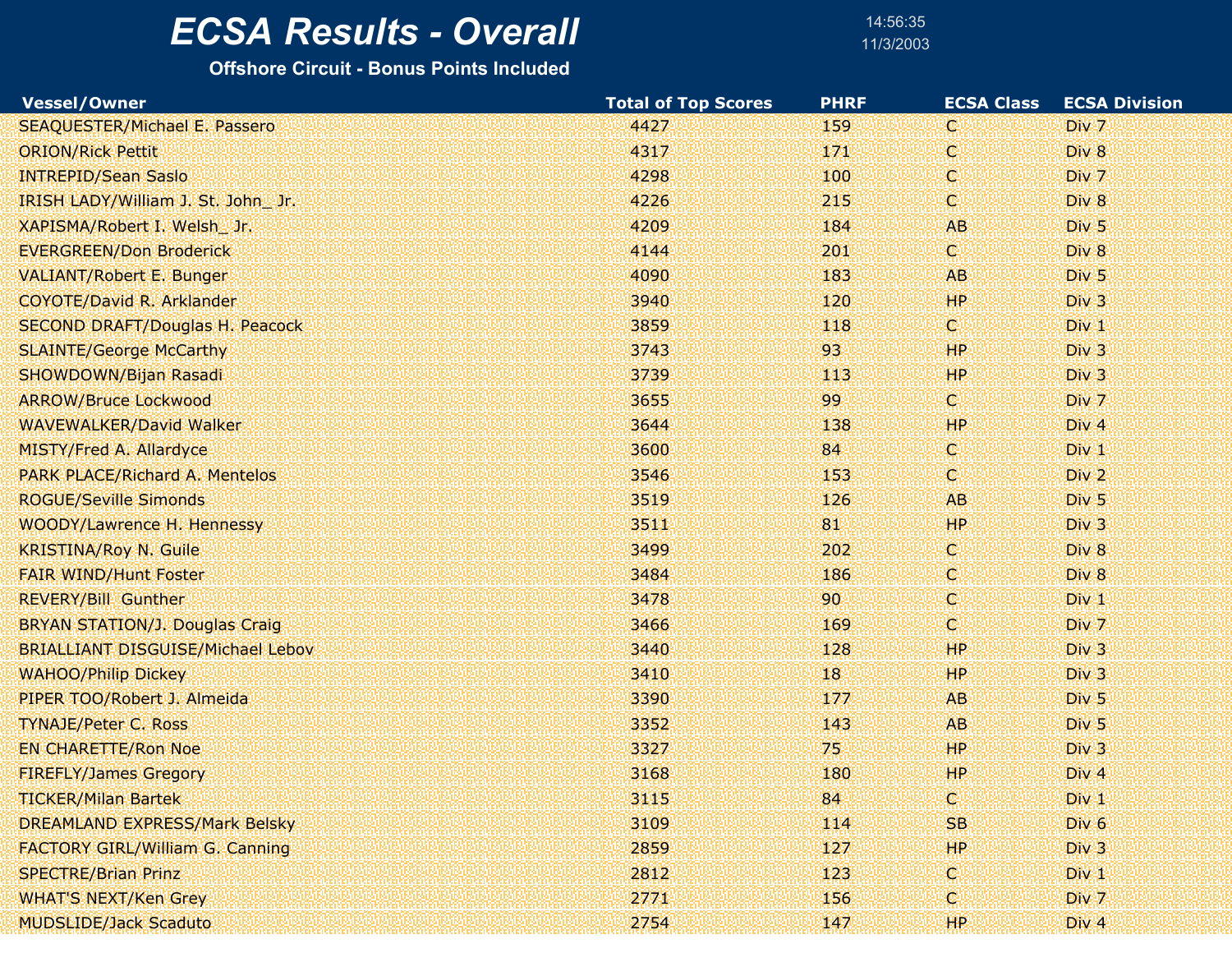14:56:3511/3/2003

| Vessel/Owner                             | <b>Total of Top Scores</b> | <b>PHRF</b> | <b>ECSA Class</b> | <b>ECSA Division</b>          |
|------------------------------------------|----------------------------|-------------|-------------------|-------------------------------|
| SEAQUESTER/Michael E. Passero            | 4427                       | 159         | КW                | Div 7                         |
| <b>ORION/Rick Pettit</b>                 | 4317                       | 171         | X.                | Div 8                         |
| <b>INTREPID/Sean Saslo</b>               | 4298                       | 100         | ₩                 | Div 7                         |
| IRISH LADY/William J. St. John Jr.       | 4226                       | 215         | W                 | Div 8                         |
| XAPISMA/Robert I. Welsh_Jr.              | 4209                       | 184         | <b>AB</b>         | Div <sub>5</sub>              |
| <b>EVERGREEN/Don Broderick</b>           | 4144                       | 201         | ю                 | Div 8                         |
| <b>VALIANT/Robert E. Bunger</b>          | 4090                       | 183         | AB.               | Div <sub>5</sub>              |
| COYOTE/David R. Arklander                | 3940                       | 120         | <b>HP</b>         | Div <sub>3</sub>              |
| <b>SECOND DRAFT/Douglas H. Peacock</b>   | 3859                       | 118         | ю                 | $Div_1$                       |
| <b>SLAINTE/George McCarthy</b>           | 3743                       | 93          | <b>HP</b>         | Div 3                         |
| SHOWDOWN/Bijan Rasadi                    | 3739                       | 113         | <b>HP</b>         | Div <sub>3</sub>              |
| <b>ARROW/Bruce Lockwood</b>              | 3655                       | 99          | ЖŊ                | Div 7                         |
| <b>WAVEWALKER/David Walker</b>           | 3644                       | 138         | <b>HP</b>         | Div <sub>4</sub>              |
| MISTY/Fred A. Allardyce                  | 3600                       | 84          | V.                | Div <sub>1</sub>              |
| PARK PLACE/Richard A. Mentelos           | 3546                       | 153         | W.                | Div 2                         |
| <b>ROGUE/Seville Simonds</b>             | 3519                       | 126         | AB <sup>®</sup>   | Div <sub>5</sub>              |
| WOODY/Lawrence H. Hennessy               | 3511                       | 81          | HP.               | Div <sub>3</sub>              |
| <b>KRISTINA/Roy N. Guile</b>             | 3499                       | 202         | W.                | Div 8                         |
| <b>FAIR WIND/Hunt Foster</b>             | 3484                       | 186         | X.                | Div 8                         |
| <b>REVERY/Bill Gunther</b>               | 3478                       | 90          | V.                | Div <sub>1</sub>              |
| <b>BRYAN STATION/J. Douglas Craig</b>    | 3466                       | 169         | O.                | D <sub>I</sub> v <sub>7</sub> |
| <b>BRIALLIANT DISGUISE/Michael Lebov</b> | 3440                       | 128         | <b>HP</b>         | Div 3                         |
| <b>WAHOO/Philip Dickey</b>               | 3410                       | 18          | HP.               | Div <sub>3</sub>              |
| PIPER TOO/Robert J. Almeida              | 3390                       | 177         | <b>AB</b>         | Div 5                         |
| <b>TYNAJE/Peter C. Ross</b>              | 3352                       | 143         | AB.               | Div 5                         |
| <b>EN CHARETTE/Ron Noe</b>               | 3327                       | 75          | <b>HP</b>         | Div 3                         |
| <b>FIREFLY/James Gregory</b>             | 3168                       | 180         | HР                | Div 4                         |
| <b>TICKER/Milan Bartek</b>               | 3115                       | 84          |                   | Div 1                         |
| <b>DREAMLAND EXPRESS/Mark Belsky</b>     | 3109                       | 114         | SB.               | Div <sub>6</sub>              |
| <b>FACTORY GIRL/William G. Canning</b>   | 2859                       | 127         | HР                | Div <sub>3</sub>              |
| <b>SPECTRE/Brian Prinz</b>               | 2812                       | 123         | XV.               | Div <sub>1</sub>              |
| <b>WHAT'S NEXT/Ken Grey</b>              | 2771                       | 156         | X.                | Div 7                         |
| <b>MUDSLIDE/Jack Scaduto</b>             | 2754                       | 147         | НP                | Div 4                         |
|                                          |                            |             |                   |                               |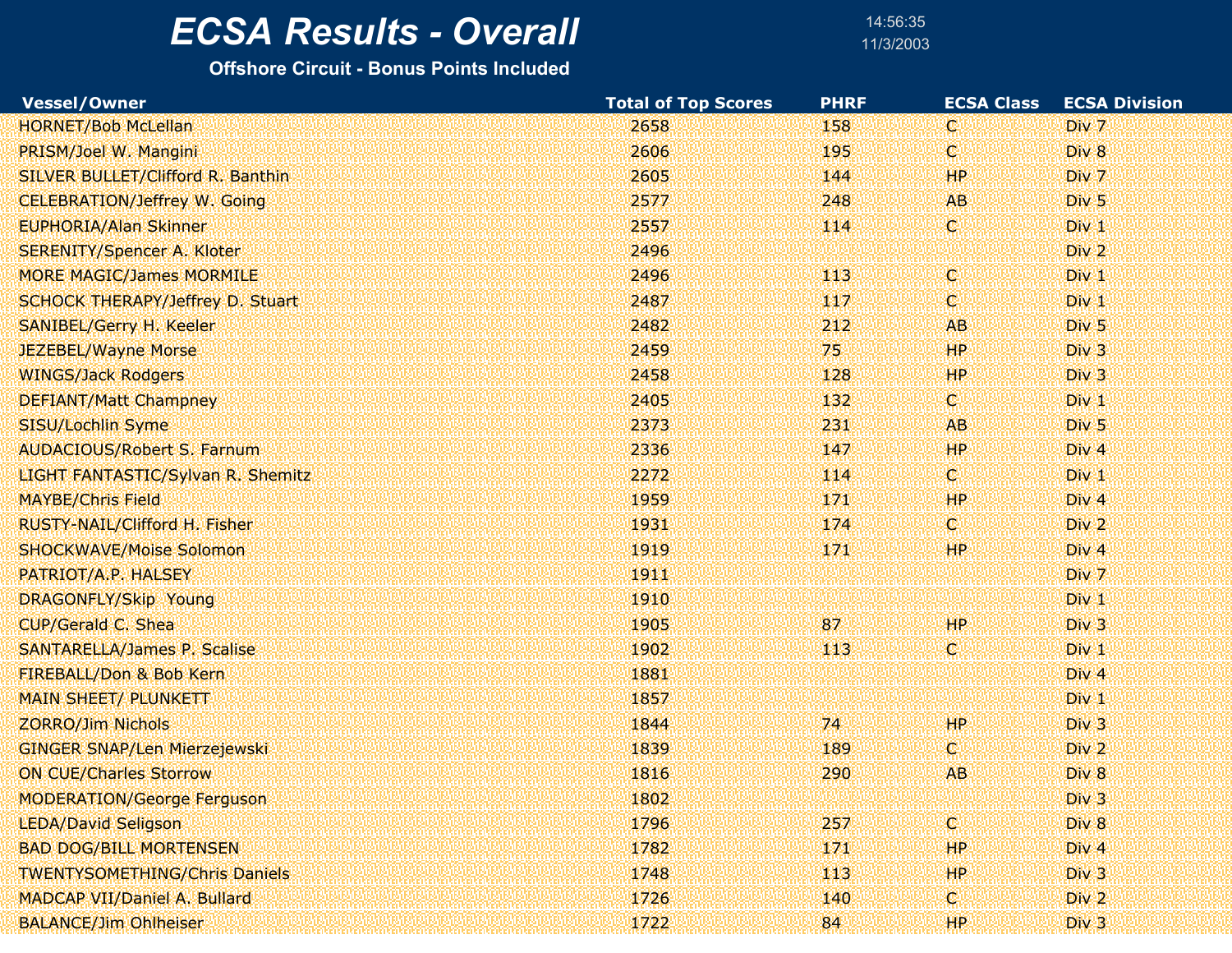# $\overline{ECSA}$  Results - Overall

**Offshore Circuit - Bonus Points Included**

14:56:3511/3/2003

| <b>Vessel/Owner</b>                     | <b>Total of Top Scores</b> | <b>PHRF</b> | <b>ECSA Class</b> | <b>ECSA Division</b> |
|-----------------------------------------|----------------------------|-------------|-------------------|----------------------|
| <b>HORNET/Bob McLellan</b>              | 2658                       | 158         | C.                | Div 7                |
| PRISM/Joel W. Mangini                   | 2606                       | 195         | C.                | Div 8                |
| SILVER BULLET/Clifford R. Banthin       | 2605                       | 144         | HР                | Div 7                |
| <b>CELEBRATION/Jeffrey W. Going</b>     | 2577                       | 248         | <b>AB</b>         | Div <sub>5</sub>     |
| <b>EUPHORIA/Alan Skinner</b>            | 2557                       | 114         | C.                | Div 1                |
| <b>SERENITY/Spencer A. Kloter</b>       | 2496                       |             |                   | Div <sub>2</sub>     |
| <b>MORE MAGIC/James MORMILE</b>         | 2496                       | 113         | C.                | Div 1                |
| <b>SCHOCK THERAPY/Jeffrey D. Stuart</b> | 2487                       | WZ          | C.                | Div 1                |
| SANIBEL/Gerry H. Keeler                 | 2482                       | 212         | AB                | Div 5                |
| JEZEBEL/Wayne Morse                     | 2459                       | 75          | <b>HP</b>         | Div 3                |
| <b>WINGS/Jack Rodgers</b>               | 2458                       | 128         | <b>HP</b>         | Div 3                |
| <b>DEFIANT/Matt Champney</b>            | 2405                       | 132         | C.                | Div 1                |
| SISU/Lochlin Syme                       | 2373                       | 231         | <b>AB</b>         | Div <sub>5</sub>     |
| <b>AUDACIOUS/Robert S. Farnum</b>       | 2336                       | 147         | <b>HP</b>         | Div 4                |
| LIGHT FANTASTIC/Sylvan R. Shemitz       | 2272                       | 114         | C.                | Div 1                |
| <b>MAYBE/Chris Field</b>                | 1959                       | 471         | <b>HP</b>         | Div <sub>4</sub>     |
| RUSTY-NAIL/Clifford H. Fisher           | 1931                       | 174         | C.                | Div <sub>2</sub>     |
| <b>SHOCKWAVE/Moise Solomon</b>          | 1919                       | 171         | HР                | Div 4                |
| PATRIOT/A.P. HALSEY                     | 1911                       |             |                   | Div 7                |
| DRAGONFLY/Skip Young                    | 1910                       |             |                   | Div 1                |
| CUP/Gerald C. Shea                      | 1905                       | 87          | HP                | Div 3                |
| <b>SANTARELLA/James P. Scalise</b>      | 1902                       | 113         | ¢                 | Div 1                |
| FIREBALL/Don & Bob Kern                 | 1881                       |             |                   | Div 4                |
| <b>MAIN SHEET/ PLUNKETT</b>             | 1857                       |             |                   | Div 1                |
| <b>ZORRO/Jim Nichols</b>                | 1844                       | 74          | <b>HP</b>         | Div 3                |
| <b>GINGER SNAP/Len Mierzejewski</b>     | 1839                       | 189         | C.                | Div <sub>2</sub>     |
| <b>ON CUE/Charles Storrow</b>           | 1816                       | 290         | <b>AB</b>         | Div 8                |
| <b>MODERATION/George Ferguson</b>       | 1802                       |             |                   | Div 3                |
| <b>LEDA/David Seligson</b>              | 1796                       | 257         | C.                | Div 8                |
| <b>BAD DOG/BILL MORTENSEN</b>           | 1782                       | 171         | HP                | Div 4                |
| <b>TWENTYSOMETHING/Chris Daniels</b>    | 1748                       | 443         | <b>HP</b>         | Div <sub>3</sub>     |
| <b>MADCAP VII/Daniel A. Bullard</b>     | 1726                       | 140         | C.                | Div 2                |
| <b>BALANCE/Jim Ohlheiser</b>            | 1722                       | 84          | <b>HP</b>         | Div 3                |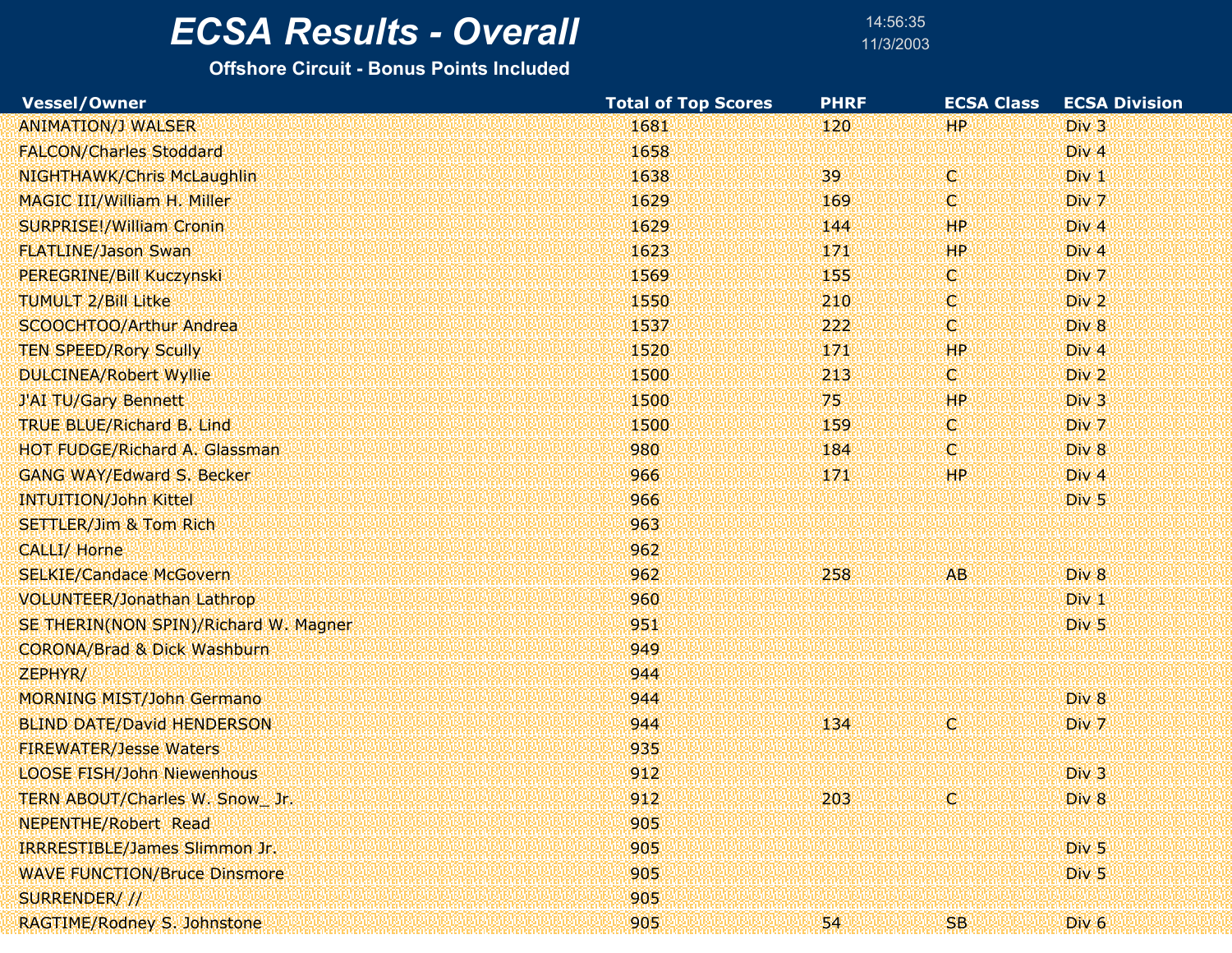14:56:3511/3/2003

| Vessel/Owner                           | <b>Total of Top Scores</b> | <b>PHRF</b> | <b>ECSA Class</b> | <b>ECSA Division</b> |
|----------------------------------------|----------------------------|-------------|-------------------|----------------------|
| <b>ANIMATION/J WALSER</b>              | 1681                       | 120         | <b>HP</b>         | Div <sub>3</sub>     |
| <b>FALCON/Charles Stoddard</b>         | 1658                       |             |                   | Div 4                |
| NIGHTHAWK/Chris McLaughlin             | 1638                       | 39          | W.                | $Div_1$              |
| MAGIC III/William H. Miller            | 1629                       | 169         | V.                | Div 7                |
| <b>SURPRISE!/William Cronin</b>        | 1629                       | 144         | HР                | Div 4                |
| <b>FLATLINE/Jason Swan</b>             | 1623                       | 171         | HP                | Div 4                |
| PEREGRINE/Bill Kuczynski               | 1569                       | 155         | O.                | Div 7                |
| <b>TUMULT 2/Bill Litke</b>             | 1550                       | 210         | C.                | Div <sub>2</sub>     |
| SCOOCHTOO/Arthur Andrea                | 1537                       | 222         | V.                | Div 8                |
| <b>TEN SPEED/Rory Scully</b>           | 1520                       | 171         | <b>HP</b>         | Div 4                |
| <b>DULCINEA/Robert Wyllie</b>          | 1500                       | 213         | 'C)               | Div <sub>2</sub>     |
| J'AI TU/Gary Bennett                   | 1500                       | 75          | HP                | Div 3                |
| <b>TRUE BLUE/Richard B. Lind</b>       | 1500                       | 159         | O.                | Div 7                |
| <b>HOT FUDGE/Richard A. Glassman</b>   | 980                        | 184         | 'Q.               | Div 8                |
| <b>GANG WAY/Edward S. Becker</b>       | 966                        | 171         | <b>HP</b>         | Div 4                |
| <b>INTUITION/John Kittel</b>           | 966                        |             |                   | Div <sub>5</sub>     |
| <b>SETTLER/Jim &amp; Tom Rich</b>      | 963                        |             |                   |                      |
| CALLI/ Horne                           | 962                        |             |                   |                      |
| <b>SELKIE/Candace McGovern</b>         | 962                        | 258         | <b>AB</b>         | Div 8                |
| <b>VOLUNTEER/Jonathan Lathrop</b>      | 960                        |             |                   | Div 1                |
| SE THERIN(NON SPIN)/Richard W. Magner  | 951                        |             |                   | Div <sub>5</sub>     |
| <b>CORONA/Brad &amp; Dick Washburn</b> | 949                        |             |                   |                      |
| ZEPHYR/                                | 944                        |             |                   |                      |
| <b>MORNING MIST/John Germano</b>       | 944                        |             |                   | Div 8                |
| <b>BLIND DATE/David HENDERSON</b>      | 944                        | 134         | Ю                 | Div 7                |
| <b>FIREWATER/Jesse Waters</b>          | 935                        |             |                   |                      |
| <b>LOOSE FISH/John Niewenhous</b>      | 912                        |             |                   | Div 3                |
| TERN ABOUT/Charles W. Snow_Jr.         | 912                        | 203         |                   | Div 8                |
| <b>NEPENTHE/Robert Read</b>            | 905                        |             |                   |                      |
| <b>IRRRESTIBLE/James Slimmon Jr.</b>   | 905                        |             |                   | Div <sub>5</sub>     |
| <b>WAVE FUNCTION/Bruce Dinsmore</b>    | 905                        |             |                   | Div <sub>5</sub>     |
| SURRENDER///                           | 905                        |             |                   |                      |
| RAGTIME/Rodney S. Johnstone            | 905                        | 54          | SB.               | Div <sub>6</sub>     |
|                                        |                            |             |                   |                      |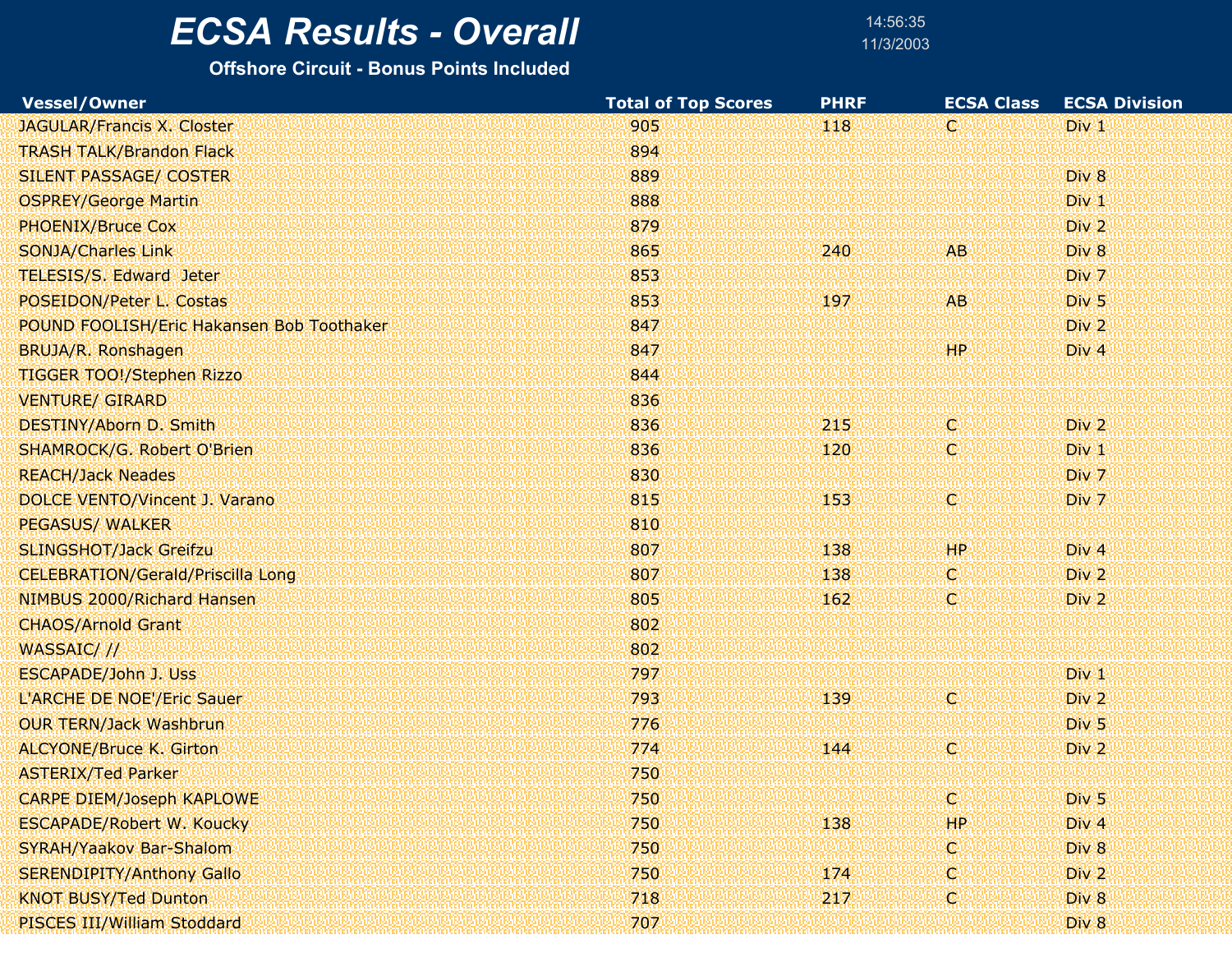14:56:3511/3/2003

| Vessel/Owner                              | <b>Total of Top Scores</b> | <b>PHRF</b>   | <b>ECSA Class</b> | <b>ECSA Division</b> |  |
|-------------------------------------------|----------------------------|---------------|-------------------|----------------------|--|
| <b>JAGULAR/Francis X. Closter</b>         | 905                        | $ 118\rangle$ | ₩                 | Div <sub>1</sub>     |  |
| <b>TRASH TALK/Brandon Flack</b>           | 894                        |               |                   |                      |  |
| SILENT PASSAGE/ COSTER                    | 889                        |               |                   | Div 8                |  |
| <b>OSPREY/George Martin</b>               | 888                        |               |                   | Div <sub>1</sub>     |  |
| PHOENIX/Bruce Cox                         | 879                        |               |                   | Div <sub>2</sub>     |  |
| <b>SONJA/Charles Link</b>                 | 865                        | 240           | <b>AB</b>         | Div 8                |  |
| <b>TELESIS/S. Edward Jeter</b>            | 853                        |               |                   | Div 7                |  |
| POSEIDON/Peter L. Costas                  | 853                        | 197           | <b>AB</b>         | Div <sub>5</sub>     |  |
| POUND FOOLISH/Eric Hakansen Bob Toothaker | 847                        |               |                   | Div 2                |  |
| BRUJA/R. Ronshagen                        | 847                        |               | <b>HP</b>         | Div <sub>4</sub>     |  |
| TIGGER TOO!/Stephen Rizzo                 | 844                        |               |                   |                      |  |
| <b>VENTURE/ GIRARD</b>                    | 836                        |               |                   |                      |  |
| DESTINY/Aborn D. Smith                    | 836                        | 215           | K.                | Div <sub>2</sub>     |  |
| <b>SHAMROCK/G. Robert O'Brien</b>         | 836                        | 120           | C.                | Div <sub>1</sub>     |  |
| <b>REACH/Jack Neades</b>                  | 830                        |               |                   | Div 7                |  |
| DOLCE VENTO/Vincent J. Varano             | 815                        | 153           | X.                | Div 7                |  |
| <b>PEGASUS/ WALKER</b>                    | 810                        |               |                   |                      |  |
| <b>SLINGSHOT/Jack Greifzu</b>             | 807                        | 138           | <b>HP</b>         | Div 4                |  |
| <b>CELEBRATION/Gerald/Priscilla Long</b>  | 807                        | 138           | V.                | Div 2                |  |
| NIMBUS 2000/Richard Hansen                | 805                        | 162           | C.                | Div <sub>2</sub>     |  |
| <b>CHAOS/Arnold Grant</b>                 | 802                        |               |                   |                      |  |
| WASSAIC///                                | 802                        |               |                   |                      |  |
| <b>ESCAPADE/John J. Uss</b>               | 797                        |               |                   | Div <sub>1</sub>     |  |
| L'ARCHE DE NOE'/Eric Sauer                | 793                        | 139           | X.                | Div 2                |  |
| <b>OUR TERN/Jack Washbrun</b>             | 776                        |               |                   | Div <sub>5</sub>     |  |
| <b>ALCYONE/Bruce K. Girton</b>            | 774                        | 144           | C.                | Div <sub>2</sub>     |  |
| <b>ASTERIX/Ted Parker</b>                 | 750                        |               |                   |                      |  |
| <b>CARPE DIEM/Joseph KAPLOWE</b>          | 750                        |               | C                 | Div <sub>5</sub>     |  |
| <b>ESCAPADE/Robert W. Koucky</b>          | 750                        | 138           | HP.               | Div 4                |  |
| SYRAH/Yaakov Bar-Shalom                   | 750                        |               | O.                | Div 8                |  |
| <b>SERENDIPITY/Anthony Gallo</b>          | 750                        | 174           | C.                | Div <sub>2</sub>     |  |
| <b>KNOT BUSY/Ted Dunton</b>               | 718                        | 217           | K.                | Div 8                |  |
| PISCES III/William Stoddard               | 707                        |               |                   | Div 8                |  |
|                                           |                            |               |                   |                      |  |